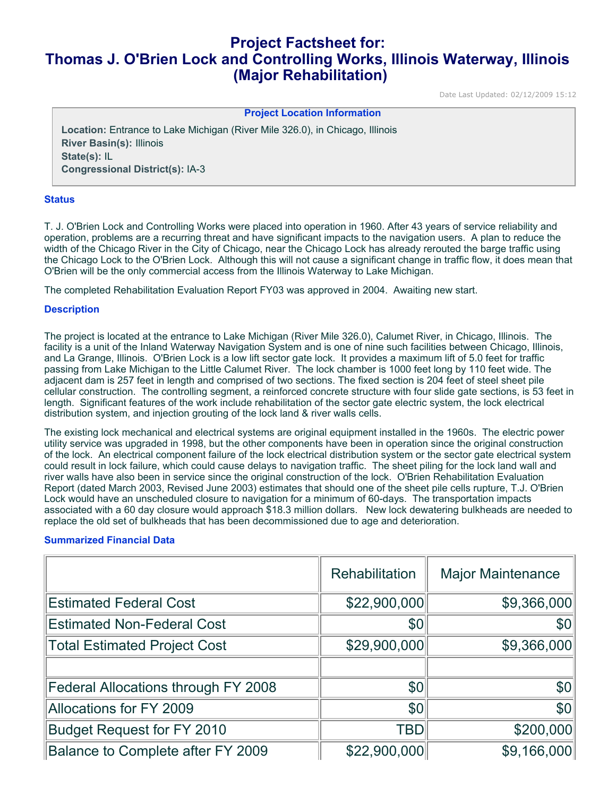# **Project Factsheet for: Thomas J. O'Brien Lock and Controlling Works, Illinois Waterway, Illinois (Major Rehabilitation)**

Date Last Updated: 02/12/2009 15:12

#### **Project Location Information**

**Location:** Entrance to Lake Michigan (River Mile 326.0), in Chicago, Illinois **River Basin(s):** Illinois **State(s):** IL **Congressional District(s):** IA-3

### **Status**

T. J. O'Brien Lock and Controlling Works were placed into operation in 1960. After 43 years of service reliability and operation, problems are a recurring threat and have significant impacts to the navigation users. A plan to reduce the width of the Chicago River in the City of Chicago, near the Chicago Lock has already rerouted the barge traffic using the Chicago Lock to the O'Brien Lock. Although this will not cause a significant change in traffic flow, it does mean that O'Brien will be the only commercial access from the Illinois Waterway to Lake Michigan.

The completed Rehabilitation Evaluation Report FY03 was approved in 2004. Awaiting new start.

#### **Description**

The project is located at the entrance to Lake Michigan (River Mile 326.0), Calumet River, in Chicago, Illinois. The facility is a unit of the Inland Waterway Navigation System and is one of nine such facilities between Chicago, Illinois, and La Grange, Illinois. O'Brien Lock is a low lift sector gate lock. It provides a maximum lift of 5.0 feet for traffic passing from Lake Michigan to the Little Calumet River. The lock chamber is 1000 feet long by 110 feet wide. The adjacent dam is 257 feet in length and comprised of two sections. The fixed section is 204 feet of steel sheet pile cellular construction. The controlling segment, a reinforced concrete structure with four slide gate sections, is 53 feet in length. Significant features of the work include rehabilitation of the sector gate electric system, the lock electrical distribution system, and injection grouting of the lock land & river walls cells.

The existing lock mechanical and electrical systems are original equipment installed in the 1960s. The electric power utility service was upgraded in 1998, but the other components have been in operation since the original construction of the lock. An electrical component failure of the lock electrical distribution system or the sector gate electrical system could result in lock failure, which could cause delays to navigation traffic. The sheet piling for the lock land wall and river walls have also been in service since the original construction of the lock. O'Brien Rehabilitation Evaluation Report (dated March 2003, Revised June 2003) estimates that should one of the sheet pile cells rupture, T.J. O'Brien Lock would have an unscheduled closure to navigation for a minimum of 60-days. The transportation impacts associated with a 60 day closure would approach \$18.3 million dollars. New lock dewatering bulkheads are needed to replace the old set of bulkheads that has been decommissioned due to age and deterioration.

### **Summarized Financial Data**

|                                     | Rehabilitation | <b>Major Maintenance</b> |
|-------------------------------------|----------------|--------------------------|
| <b>Estimated Federal Cost</b>       | \$22,900,000   | \$9,366,000              |
| <b>Estimated Non-Federal Cost</b>   | \$0            | \$0                      |
| <b>Total Estimated Project Cost</b> | \$29,900,000   | \$9,366,000              |
|                                     |                |                          |
| Federal Allocations through FY 2008 | \$0            | \$0                      |
| Allocations for FY 2009             | \$0            | \$0                      |
| <b>Budget Request for FY 2010</b>   | <b>TBD</b>     | \$200,000                |
| Balance to Complete after FY 2009   | \$22,900,000   | \$9,166,000              |